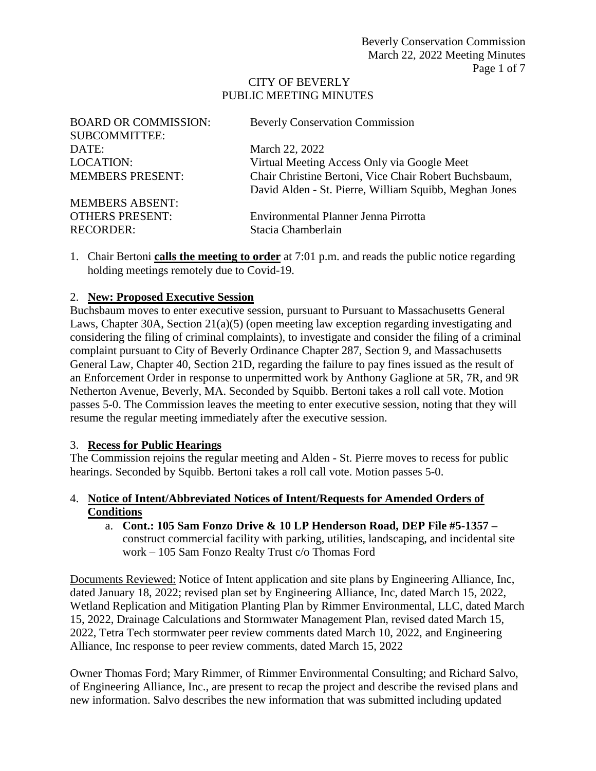#### CITY OF BEVERLY PUBLIC MEETING MINUTES

| <b>BOARD OR COMMISSION:</b> | <b>Beverly Conservation Commission</b>                 |
|-----------------------------|--------------------------------------------------------|
| <b>SUBCOMMITTEE:</b>        |                                                        |
| DATE:                       | March 22, 2022                                         |
| <b>LOCATION:</b>            | Virtual Meeting Access Only via Google Meet            |
| <b>MEMBERS PRESENT:</b>     | Chair Christine Bertoni, Vice Chair Robert Buchsbaum,  |
|                             | David Alden - St. Pierre, William Squibb, Meghan Jones |
| <b>MEMBERS ABSENT:</b>      |                                                        |
| <b>OTHERS PRESENT:</b>      | Environmental Planner Jenna Pirrotta                   |
| <b>RECORDER:</b>            | Stacia Chamberlain                                     |

1. Chair Bertoni **calls the meeting to order** at 7:01 p.m. and reads the public notice regarding holding meetings remotely due to Covid-19.

## 2. **New: Proposed Executive Session**

Buchsbaum moves to enter executive session, pursuant to Pursuant to Massachusetts General Laws, Chapter 30A, Section 21(a)(5) (open meeting law exception regarding investigating and considering the filing of criminal complaints), to investigate and consider the filing of a criminal complaint pursuant to City of Beverly Ordinance Chapter 287, Section 9, and Massachusetts General Law, Chapter 40, Section 21D, regarding the failure to pay fines issued as the result of an Enforcement Order in response to unpermitted work by Anthony Gaglione at 5R, 7R, and 9R Netherton Avenue, Beverly, MA. Seconded by Squibb. Bertoni takes a roll call vote. Motion passes 5-0. The Commission leaves the meeting to enter executive session, noting that they will resume the regular meeting immediately after the executive session.

#### 3. **Recess for Public Hearings**

The Commission rejoins the regular meeting and Alden - St. Pierre moves to recess for public hearings. Seconded by Squibb. Bertoni takes a roll call vote. Motion passes 5-0.

## 4. **Notice of Intent/Abbreviated Notices of Intent/Requests for Amended Orders of Conditions**

a. **Cont.: 105 Sam Fonzo Drive & 10 LP Henderson Road, DEP File #5-1357 –** construct commercial facility with parking, utilities, landscaping, and incidental site work – 105 Sam Fonzo Realty Trust c/o Thomas Ford

Documents Reviewed: Notice of Intent application and site plans by Engineering Alliance, Inc, dated January 18, 2022; revised plan set by Engineering Alliance, Inc, dated March 15, 2022, Wetland Replication and Mitigation Planting Plan by Rimmer Environmental, LLC, dated March 15, 2022, Drainage Calculations and Stormwater Management Plan, revised dated March 15, 2022, Tetra Tech stormwater peer review comments dated March 10, 2022, and Engineering Alliance, Inc response to peer review comments, dated March 15, 2022

Owner Thomas Ford; Mary Rimmer, of Rimmer Environmental Consulting; and Richard Salvo, of Engineering Alliance, Inc., are present to recap the project and describe the revised plans and new information. Salvo describes the new information that was submitted including updated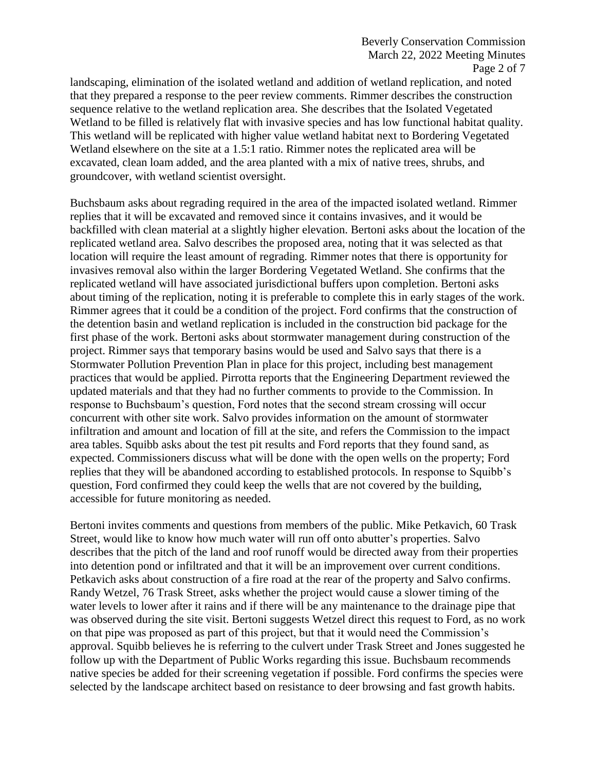landscaping, elimination of the isolated wetland and addition of wetland replication, and noted that they prepared a response to the peer review comments. Rimmer describes the construction sequence relative to the wetland replication area. She describes that the Isolated Vegetated Wetland to be filled is relatively flat with invasive species and has low functional habitat quality. This wetland will be replicated with higher value wetland habitat next to Bordering Vegetated Wetland elsewhere on the site at a 1.5:1 ratio. Rimmer notes the replicated area will be excavated, clean loam added, and the area planted with a mix of native trees, shrubs, and groundcover, with wetland scientist oversight.

Buchsbaum asks about regrading required in the area of the impacted isolated wetland. Rimmer replies that it will be excavated and removed since it contains invasives, and it would be backfilled with clean material at a slightly higher elevation. Bertoni asks about the location of the replicated wetland area. Salvo describes the proposed area, noting that it was selected as that location will require the least amount of regrading. Rimmer notes that there is opportunity for invasives removal also within the larger Bordering Vegetated Wetland. She confirms that the replicated wetland will have associated jurisdictional buffers upon completion. Bertoni asks about timing of the replication, noting it is preferable to complete this in early stages of the work. Rimmer agrees that it could be a condition of the project. Ford confirms that the construction of the detention basin and wetland replication is included in the construction bid package for the first phase of the work. Bertoni asks about stormwater management during construction of the project. Rimmer says that temporary basins would be used and Salvo says that there is a Stormwater Pollution Prevention Plan in place for this project, including best management practices that would be applied. Pirrotta reports that the Engineering Department reviewed the updated materials and that they had no further comments to provide to the Commission. In response to Buchsbaum's question, Ford notes that the second stream crossing will occur concurrent with other site work. Salvo provides information on the amount of stormwater infiltration and amount and location of fill at the site, and refers the Commission to the impact area tables. Squibb asks about the test pit results and Ford reports that they found sand, as expected. Commissioners discuss what will be done with the open wells on the property; Ford replies that they will be abandoned according to established protocols. In response to Squibb's question, Ford confirmed they could keep the wells that are not covered by the building, accessible for future monitoring as needed.

Bertoni invites comments and questions from members of the public. Mike Petkavich, 60 Trask Street, would like to know how much water will run off onto abutter's properties. Salvo describes that the pitch of the land and roof runoff would be directed away from their properties into detention pond or infiltrated and that it will be an improvement over current conditions. Petkavich asks about construction of a fire road at the rear of the property and Salvo confirms. Randy Wetzel, 76 Trask Street, asks whether the project would cause a slower timing of the water levels to lower after it rains and if there will be any maintenance to the drainage pipe that was observed during the site visit. Bertoni suggests Wetzel direct this request to Ford, as no work on that pipe was proposed as part of this project, but that it would need the Commission's approval. Squibb believes he is referring to the culvert under Trask Street and Jones suggested he follow up with the Department of Public Works regarding this issue. Buchsbaum recommends native species be added for their screening vegetation if possible. Ford confirms the species were selected by the landscape architect based on resistance to deer browsing and fast growth habits.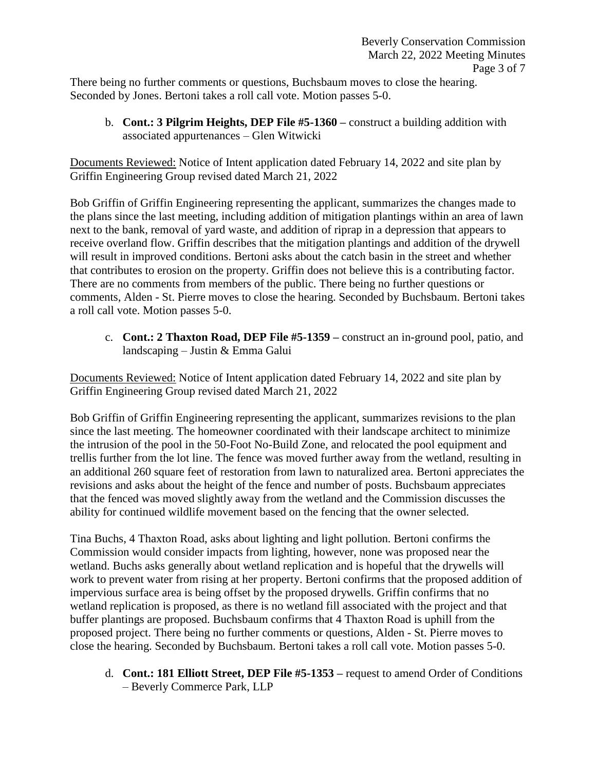There being no further comments or questions, Buchsbaum moves to close the hearing. Seconded by Jones. Bertoni takes a roll call vote. Motion passes 5-0.

b. **Cont.: 3 Pilgrim Heights, DEP File #5-1360 –** construct a building addition with associated appurtenances – Glen Witwicki

Documents Reviewed: Notice of Intent application dated February 14, 2022 and site plan by Griffin Engineering Group revised dated March 21, 2022

Bob Griffin of Griffin Engineering representing the applicant, summarizes the changes made to the plans since the last meeting, including addition of mitigation plantings within an area of lawn next to the bank, removal of yard waste, and addition of riprap in a depression that appears to receive overland flow. Griffin describes that the mitigation plantings and addition of the drywell will result in improved conditions. Bertoni asks about the catch basin in the street and whether that contributes to erosion on the property. Griffin does not believe this is a contributing factor. There are no comments from members of the public. There being no further questions or comments, Alden - St. Pierre moves to close the hearing. Seconded by Buchsbaum. Bertoni takes a roll call vote. Motion passes 5-0.

c. **Cont.: 2 Thaxton Road, DEP File #5-1359 –** construct an in-ground pool, patio, and landscaping – Justin & Emma Galui

Documents Reviewed: Notice of Intent application dated February 14, 2022 and site plan by Griffin Engineering Group revised dated March 21, 2022

Bob Griffin of Griffin Engineering representing the applicant, summarizes revisions to the plan since the last meeting. The homeowner coordinated with their landscape architect to minimize the intrusion of the pool in the 50-Foot No-Build Zone, and relocated the pool equipment and trellis further from the lot line. The fence was moved further away from the wetland, resulting in an additional 260 square feet of restoration from lawn to naturalized area. Bertoni appreciates the revisions and asks about the height of the fence and number of posts. Buchsbaum appreciates that the fenced was moved slightly away from the wetland and the Commission discusses the ability for continued wildlife movement based on the fencing that the owner selected.

Tina Buchs, 4 Thaxton Road, asks about lighting and light pollution. Bertoni confirms the Commission would consider impacts from lighting, however, none was proposed near the wetland. Buchs asks generally about wetland replication and is hopeful that the drywells will work to prevent water from rising at her property. Bertoni confirms that the proposed addition of impervious surface area is being offset by the proposed drywells. Griffin confirms that no wetland replication is proposed, as there is no wetland fill associated with the project and that buffer plantings are proposed. Buchsbaum confirms that 4 Thaxton Road is uphill from the proposed project. There being no further comments or questions, Alden - St. Pierre moves to close the hearing. Seconded by Buchsbaum. Bertoni takes a roll call vote. Motion passes 5-0.

d. **Cont.: 181 Elliott Street, DEP File #5-1353 –** request to amend Order of Conditions – Beverly Commerce Park, LLP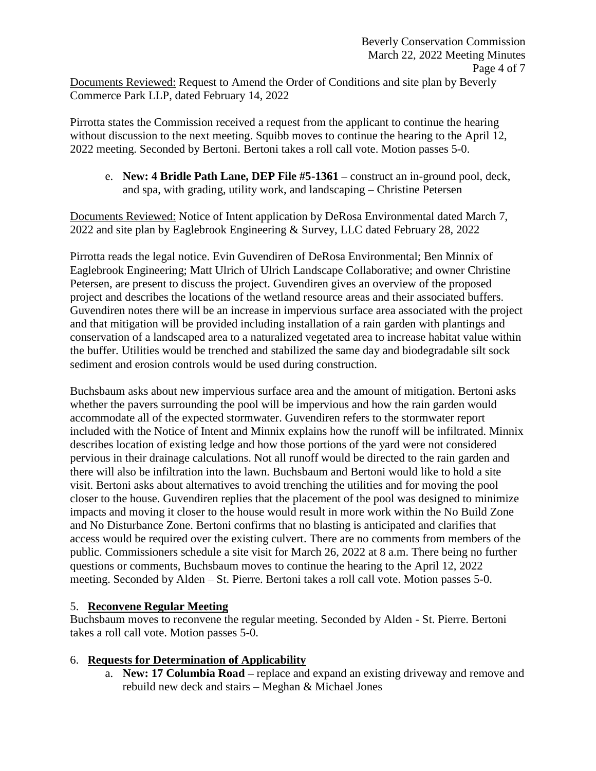Documents Reviewed: Request to Amend the Order of Conditions and site plan by Beverly Commerce Park LLP, dated February 14, 2022

Pirrotta states the Commission received a request from the applicant to continue the hearing without discussion to the next meeting. Squibb moves to continue the hearing to the April 12, 2022 meeting. Seconded by Bertoni. Bertoni takes a roll call vote. Motion passes 5-0.

e. **New: 4 Bridle Path Lane, DEP File #5-1361 –** construct an in-ground pool, deck, and spa, with grading, utility work, and landscaping – Christine Petersen

Documents Reviewed: Notice of Intent application by DeRosa Environmental dated March 7, 2022 and site plan by Eaglebrook Engineering & Survey, LLC dated February 28, 2022

Pirrotta reads the legal notice. Evin Guvendiren of DeRosa Environmental; Ben Minnix of Eaglebrook Engineering; Matt Ulrich of Ulrich Landscape Collaborative; and owner Christine Petersen, are present to discuss the project. Guvendiren gives an overview of the proposed project and describes the locations of the wetland resource areas and their associated buffers. Guvendiren notes there will be an increase in impervious surface area associated with the project and that mitigation will be provided including installation of a rain garden with plantings and conservation of a landscaped area to a naturalized vegetated area to increase habitat value within the buffer. Utilities would be trenched and stabilized the same day and biodegradable silt sock sediment and erosion controls would be used during construction.

Buchsbaum asks about new impervious surface area and the amount of mitigation. Bertoni asks whether the pavers surrounding the pool will be impervious and how the rain garden would accommodate all of the expected stormwater. Guvendiren refers to the stormwater report included with the Notice of Intent and Minnix explains how the runoff will be infiltrated. Minnix describes location of existing ledge and how those portions of the yard were not considered pervious in their drainage calculations. Not all runoff would be directed to the rain garden and there will also be infiltration into the lawn. Buchsbaum and Bertoni would like to hold a site visit. Bertoni asks about alternatives to avoid trenching the utilities and for moving the pool closer to the house. Guvendiren replies that the placement of the pool was designed to minimize impacts and moving it closer to the house would result in more work within the No Build Zone and No Disturbance Zone. Bertoni confirms that no blasting is anticipated and clarifies that access would be required over the existing culvert. There are no comments from members of the public. Commissioners schedule a site visit for March 26, 2022 at 8 a.m. There being no further questions or comments, Buchsbaum moves to continue the hearing to the April 12, 2022 meeting. Seconded by Alden – St. Pierre. Bertoni takes a roll call vote. Motion passes 5-0.

# 5. **Reconvene Regular Meeting**

Buchsbaum moves to reconvene the regular meeting. Seconded by Alden - St. Pierre. Bertoni takes a roll call vote. Motion passes 5-0.

## 6. **Requests for Determination of Applicability**

a. **New: 17 Columbia Road –** replace and expand an existing driveway and remove and rebuild new deck and stairs – Meghan & Michael Jones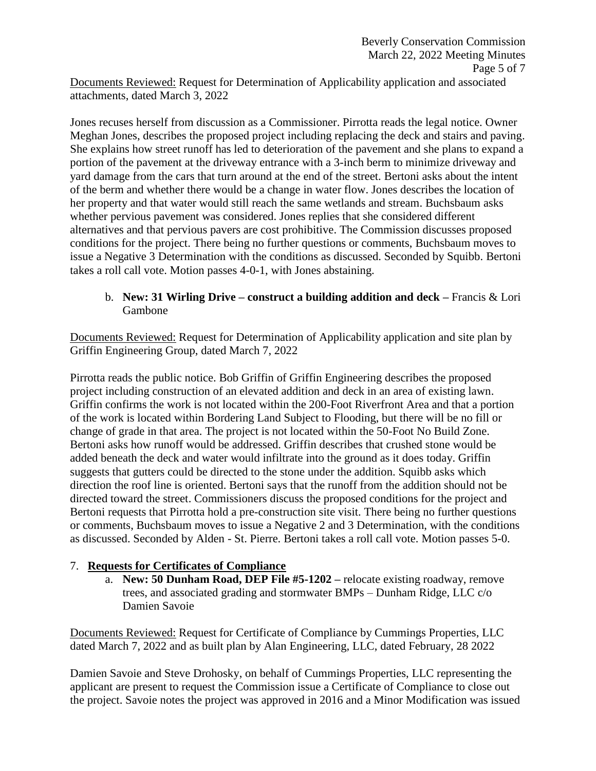Documents Reviewed: Request for Determination of Applicability application and associated attachments, dated March 3, 2022

Jones recuses herself from discussion as a Commissioner. Pirrotta reads the legal notice. Owner Meghan Jones, describes the proposed project including replacing the deck and stairs and paving. She explains how street runoff has led to deterioration of the pavement and she plans to expand a portion of the pavement at the driveway entrance with a 3-inch berm to minimize driveway and yard damage from the cars that turn around at the end of the street. Bertoni asks about the intent of the berm and whether there would be a change in water flow. Jones describes the location of her property and that water would still reach the same wetlands and stream. Buchsbaum asks whether pervious pavement was considered. Jones replies that she considered different alternatives and that pervious pavers are cost prohibitive. The Commission discusses proposed conditions for the project. There being no further questions or comments, Buchsbaum moves to issue a Negative 3 Determination with the conditions as discussed. Seconded by Squibb. Bertoni takes a roll call vote. Motion passes 4-0-1, with Jones abstaining.

## b. **New: 31 Wirling Drive – construct a building addition and deck –** Francis & Lori Gambone

Documents Reviewed: Request for Determination of Applicability application and site plan by Griffin Engineering Group, dated March 7, 2022

Pirrotta reads the public notice. Bob Griffin of Griffin Engineering describes the proposed project including construction of an elevated addition and deck in an area of existing lawn. Griffin confirms the work is not located within the 200-Foot Riverfront Area and that a portion of the work is located within Bordering Land Subject to Flooding, but there will be no fill or change of grade in that area. The project is not located within the 50-Foot No Build Zone. Bertoni asks how runoff would be addressed. Griffin describes that crushed stone would be added beneath the deck and water would infiltrate into the ground as it does today. Griffin suggests that gutters could be directed to the stone under the addition. Squibb asks which direction the roof line is oriented. Bertoni says that the runoff from the addition should not be directed toward the street. Commissioners discuss the proposed conditions for the project and Bertoni requests that Pirrotta hold a pre-construction site visit. There being no further questions or comments, Buchsbaum moves to issue a Negative 2 and 3 Determination, with the conditions as discussed. Seconded by Alden - St. Pierre. Bertoni takes a roll call vote. Motion passes 5-0.

# 7. **Requests for Certificates of Compliance**

a. **New: 50 Dunham Road, DEP File #5-1202 –** relocate existing roadway, remove trees, and associated grading and stormwater BMPs – Dunham Ridge, LLC c/o Damien Savoie

Documents Reviewed: Request for Certificate of Compliance by Cummings Properties, LLC dated March 7, 2022 and as built plan by Alan Engineering, LLC, dated February, 28 2022

Damien Savoie and Steve Drohosky, on behalf of Cummings Properties, LLC representing the applicant are present to request the Commission issue a Certificate of Compliance to close out the project. Savoie notes the project was approved in 2016 and a Minor Modification was issued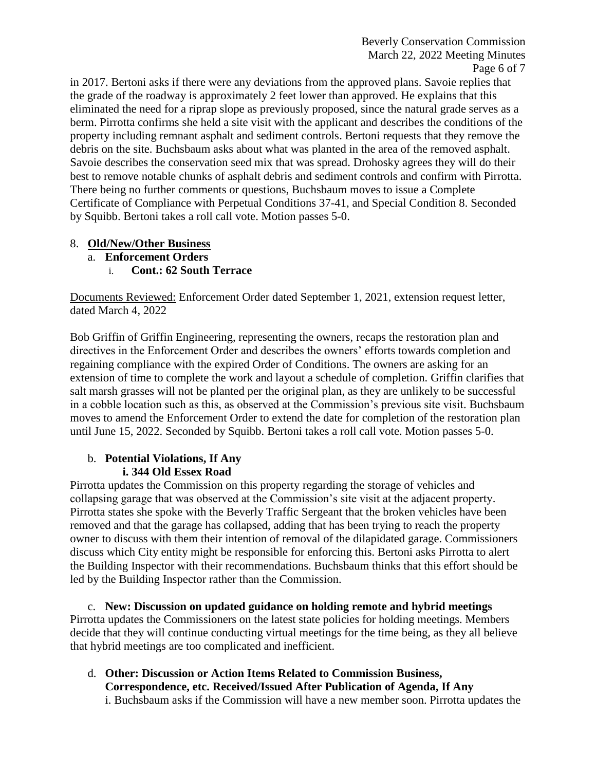in 2017. Bertoni asks if there were any deviations from the approved plans. Savoie replies that the grade of the roadway is approximately 2 feet lower than approved. He explains that this eliminated the need for a riprap slope as previously proposed, since the natural grade serves as a berm. Pirrotta confirms she held a site visit with the applicant and describes the conditions of the property including remnant asphalt and sediment controls. Bertoni requests that they remove the debris on the site. Buchsbaum asks about what was planted in the area of the removed asphalt. Savoie describes the conservation seed mix that was spread. Drohosky agrees they will do their best to remove notable chunks of asphalt debris and sediment controls and confirm with Pirrotta. There being no further comments or questions, Buchsbaum moves to issue a Complete Certificate of Compliance with Perpetual Conditions 37-41, and Special Condition 8. Seconded by Squibb. Bertoni takes a roll call vote. Motion passes 5-0.

## 8. **Old/New/Other Business**

- a. **Enforcement Orders**
	- i. **Cont.: 62 South Terrace**

Documents Reviewed: Enforcement Order dated September 1, 2021, extension request letter, dated March 4, 2022

Bob Griffin of Griffin Engineering, representing the owners, recaps the restoration plan and directives in the Enforcement Order and describes the owners' efforts towards completion and regaining compliance with the expired Order of Conditions. The owners are asking for an extension of time to complete the work and layout a schedule of completion. Griffin clarifies that salt marsh grasses will not be planted per the original plan, as they are unlikely to be successful in a cobble location such as this, as observed at the Commission's previous site visit. Buchsbaum moves to amend the Enforcement Order to extend the date for completion of the restoration plan until June 15, 2022. Seconded by Squibb. Bertoni takes a roll call vote. Motion passes 5-0.

# b. **Potential Violations, If Any i. 344 Old Essex Road**

Pirrotta updates the Commission on this property regarding the storage of vehicles and collapsing garage that was observed at the Commission's site visit at the adjacent property. Pirrotta states she spoke with the Beverly Traffic Sergeant that the broken vehicles have been removed and that the garage has collapsed, adding that has been trying to reach the property owner to discuss with them their intention of removal of the dilapidated garage. Commissioners discuss which City entity might be responsible for enforcing this. Bertoni asks Pirrotta to alert the Building Inspector with their recommendations. Buchsbaum thinks that this effort should be led by the Building Inspector rather than the Commission.

c. **New: Discussion on updated guidance on holding remote and hybrid meetings** Pirrotta updates the Commissioners on the latest state policies for holding meetings. Members decide that they will continue conducting virtual meetings for the time being, as they all believe that hybrid meetings are too complicated and inefficient.

d. **Other: Discussion or Action Items Related to Commission Business, Correspondence, etc. Received/Issued After Publication of Agenda, If Any** i. Buchsbaum asks if the Commission will have a new member soon. Pirrotta updates the